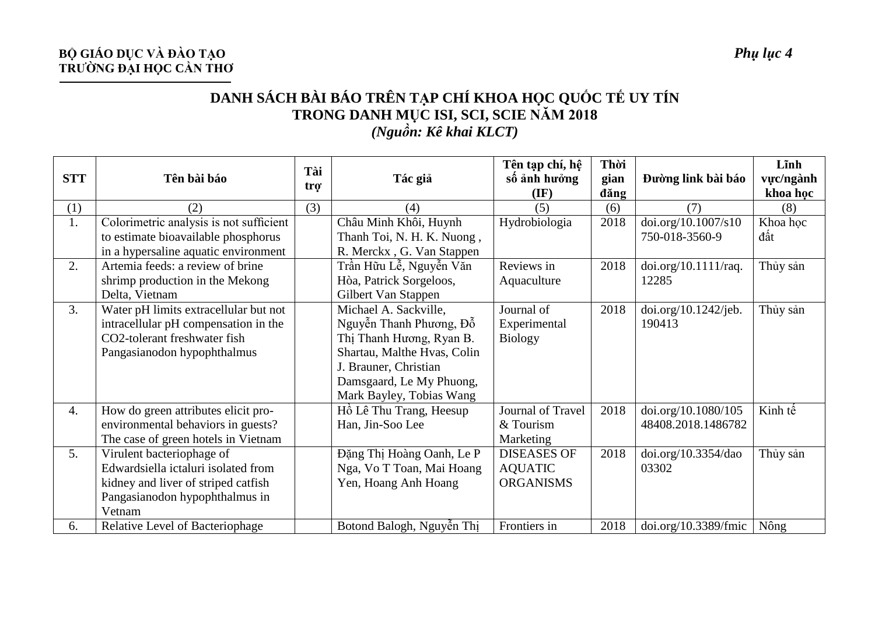## **BỘ GIÁO DỤC VÀ ĐÀO TẠO** *Phụ lục 4* **TRƯỜNG ĐẠI HỌC CẦN THƠ**

## **DANH SÁCH BÀI BÁO TRÊN TẠP CHÍ KHOA HỌC QUỐC TẾ UY TÍN TRONG DANH MỤC ISI, SCI, SCIE NĂM 2018** *(Nguồn: Kê khai KLCT)*

| <b>STT</b> | Tên bài báo                             | Tài<br>tro <sup>-</sup> | Tác giả                     | Tên tạp chí, hệ<br>số ảnh hưởng<br>$(\mathbf{IF})$ | Thời<br>gian<br>dăng | Đường link bài báo   | Lĩnh<br>vực/ngành<br>khoa học |
|------------|-----------------------------------------|-------------------------|-----------------------------|----------------------------------------------------|----------------------|----------------------|-------------------------------|
| (1)        | (2)                                     | (3)                     | (4)                         | (5)                                                | (6)                  | (7)                  | (8)                           |
| 1.         | Colorimetric analysis is not sufficient |                         | Châu Minh Khôi, Huynh       | Hydrobiologia                                      | 2018                 | doi.org/10.1007/s10  | Khoa học                      |
|            | to estimate bioavailable phosphorus     |                         | Thanh Toi, N. H. K. Nuong,  |                                                    |                      | 750-018-3560-9       | đất                           |
|            | in a hypersaline aquatic environment    |                         | R. Merckx, G. Van Stappen   |                                                    |                      |                      |                               |
| 2.         | Artemia feeds: a review of brine        |                         | Trần Hữu Lễ, Nguyễn Văn     | Reviews in                                         | 2018                 | doi.org/10.1111/raq. | Thủy sản                      |
|            | shrimp production in the Mekong         |                         | Hòa, Patrick Sorgeloos,     | Aquaculture                                        |                      | 12285                |                               |
|            | Delta, Vietnam                          |                         | Gilbert Van Stappen         |                                                    |                      |                      |                               |
| 3.         | Water pH limits extracellular but not   |                         | Michael A. Sackville,       | Journal of                                         | 2018                 | doi.org/10.1242/jeb. | Thủy sản                      |
|            | intracellular pH compensation in the    |                         | Nguyễn Thanh Phương, Đỗ     | Experimental                                       |                      | 190413               |                               |
|            | CO2-tolerant freshwater fish            |                         | Thị Thanh Hương, Ryan B.    | <b>Biology</b>                                     |                      |                      |                               |
|            | Pangasianodon hypophthalmus             |                         | Shartau, Malthe Hvas, Colin |                                                    |                      |                      |                               |
|            |                                         |                         | J. Brauner, Christian       |                                                    |                      |                      |                               |
|            |                                         |                         | Damsgaard, Le My Phuong,    |                                                    |                      |                      |                               |
|            |                                         |                         | Mark Bayley, Tobias Wang    |                                                    |                      |                      |                               |
| 4.         | How do green attributes elicit pro-     |                         | Hồ Lê Thu Trang, Heesup     | Journal of Travel                                  | 2018                 | doi.org/10.1080/105  | Kinh tế                       |
|            | environmental behaviors in guests?      |                         | Han, Jin-Soo Lee            | & Tourism                                          |                      | 48408.2018.1486782   |                               |
|            | The case of green hotels in Vietnam     |                         |                             | Marketing                                          |                      |                      |                               |
| 5.         | Virulent bacteriophage of               |                         | Đặng Thị Hoàng Oanh, Le P   | <b>DISEASES OF</b>                                 | 2018                 | doi.org/10.3354/dao  | Thủy sản                      |
|            | Edwardsiella ictaluri isolated from     |                         | Nga, Vo T Toan, Mai Hoang   | <b>AQUATIC</b>                                     |                      | 03302                |                               |
|            | kidney and liver of striped catfish     |                         | Yen, Hoang Anh Hoang        | <b>ORGANISMS</b>                                   |                      |                      |                               |
|            | Pangasianodon hypophthalmus in          |                         |                             |                                                    |                      |                      |                               |
|            | Vetnam                                  |                         |                             |                                                    |                      |                      |                               |
| 6.         | Relative Level of Bacteriophage         |                         | Botond Balogh, Nguyễn Thị   | Frontiers in                                       | 2018                 | doi.org/10.3389/fmic | Nông                          |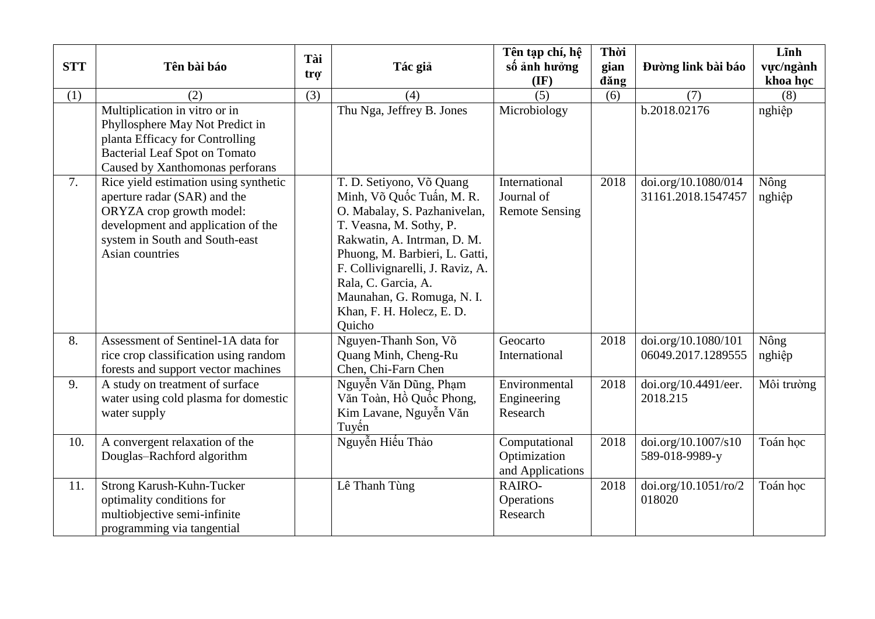| <b>STT</b> | Tên bài báo                                                                                                                                                                                  | Tài              |                                                                                                                                                                                                                                                                                                                   | Tên tạp chí, hệ<br>số ảnh hưởng                      | Thời         |                                           | Lĩnh                  |
|------------|----------------------------------------------------------------------------------------------------------------------------------------------------------------------------------------------|------------------|-------------------------------------------------------------------------------------------------------------------------------------------------------------------------------------------------------------------------------------------------------------------------------------------------------------------|------------------------------------------------------|--------------|-------------------------------------------|-----------------------|
|            |                                                                                                                                                                                              | tro <sup>-</sup> | Tác giả                                                                                                                                                                                                                                                                                                           | $(\mathbf{IF})$                                      | gian<br>dăng | Đường link bài báo                        | vực/ngành<br>khoa học |
| (1)        | (2)                                                                                                                                                                                          | (3)              | (4)                                                                                                                                                                                                                                                                                                               | (5)                                                  | (6)          | (7)                                       | (8)                   |
|            | Multiplication in vitro or in<br>Phyllosphere May Not Predict in<br>planta Efficacy for Controlling<br><b>Bacterial Leaf Spot on Tomato</b><br>Caused by Xanthomonas perforans               |                  | Thu Nga, Jeffrey B. Jones                                                                                                                                                                                                                                                                                         | Microbiology                                         |              | b.2018.02176                              | nghiệp                |
| 7.         | Rice yield estimation using synthetic<br>aperture radar (SAR) and the<br>ORYZA crop growth model:<br>development and application of the<br>system in South and South-east<br>Asian countries |                  | T. D. Setiyono, Võ Quang<br>Minh, Võ Quốc Tuấn, M. R.<br>O. Mabalay, S. Pazhanivelan,<br>T. Veasna, M. Sothy, P.<br>Rakwatin, A. Intrman, D. M.<br>Phuong, M. Barbieri, L. Gatti,<br>F. Collivignarelli, J. Raviz, A.<br>Rala, C. Garcia, A.<br>Maunahan, G. Romuga, N. I.<br>Khan, F. H. Holecz, E. D.<br>Quicho | International<br>Journal of<br><b>Remote Sensing</b> | 2018         | doi.org/10.1080/014<br>31161.2018.1547457 | Nông<br>nghiệp        |
| 8.         | Assessment of Sentinel-1A data for<br>rice crop classification using random<br>forests and support vector machines                                                                           |                  | Nguyen-Thanh Son, Võ<br>Quang Minh, Cheng-Ru<br>Chen, Chi-Farn Chen                                                                                                                                                                                                                                               | Geocarto<br>International                            | 2018         | doi.org/10.1080/101<br>06049.2017.1289555 | Nông<br>nghiệp        |
| 9.         | A study on treatment of surface<br>water using cold plasma for domestic<br>water supply                                                                                                      |                  | Nguyễn Văn Dũng, Phạm<br>Văn Toàn, Hồ Quốc Phong,<br>Kim Lavane, Nguyễn Văn<br>Tuyến                                                                                                                                                                                                                              | Environmental<br>Engineering<br>Research             | 2018         | doi.org/10.4491/eer.<br>2018.215          | Môi trường            |
| 10.        | A convergent relaxation of the<br>Douglas-Rachford algorithm                                                                                                                                 |                  | Nguyễn Hiểu Thảo                                                                                                                                                                                                                                                                                                  | Computational<br>Optimization<br>and Applications    | 2018         | doi.org/10.1007/s10<br>589-018-9989-y     | Toán hoc              |
| 11.        | Strong Karush-Kuhn-Tucker<br>optimality conditions for<br>multiobjective semi-infinite<br>programming via tangential                                                                         |                  | Lê Thanh Tùng                                                                                                                                                                                                                                                                                                     | RAIRO-<br>Operations<br>Research                     | 2018         | doi.org/10.1051/ro/2<br>018020            | Toán học              |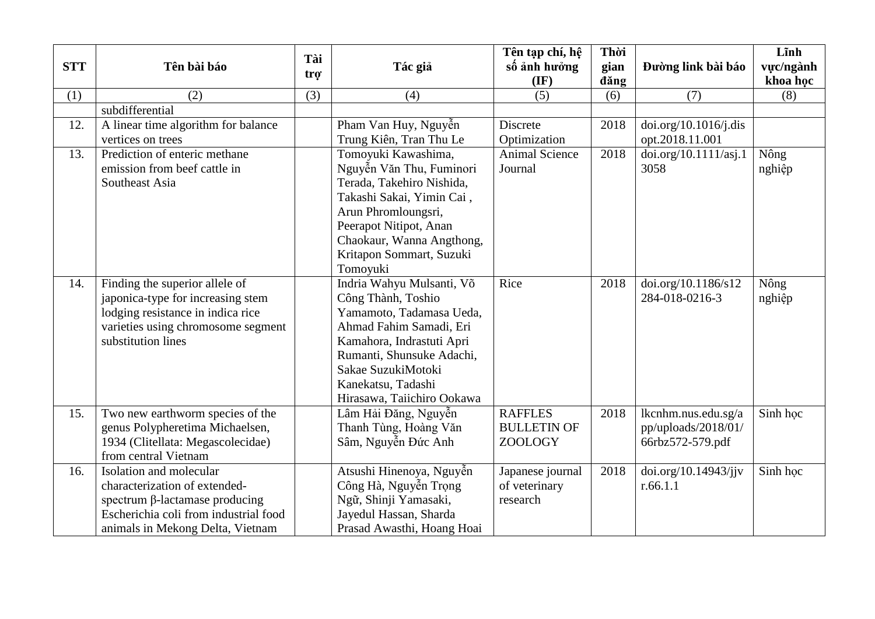| <b>STT</b> | Tên bài báo                           | Tài<br>trợ | Tác giả                    | Tên tạp chí, hệ<br>số ảnh hưởng | Thời<br>gian | Đường link bài báo    | Lĩnh<br>vực/ngành |
|------------|---------------------------------------|------------|----------------------------|---------------------------------|--------------|-----------------------|-------------------|
|            |                                       |            |                            | $(\mathbf{IF})$                 | dăng         |                       | khoa học          |
| (1)        | (2)                                   | (3)        | (4)                        | (5)                             | (6)          | (7)                   | (8)               |
|            | subdifferential                       |            |                            |                                 |              |                       |                   |
| 12.        | A linear time algorithm for balance   |            | Pham Van Huy, Nguyễn       | <b>Discrete</b>                 | 2018         | doi.org/10.1016/j.dis |                   |
|            | vertices on trees                     |            | Trung Kiên, Tran Thu Le    | Optimization                    |              | opt.2018.11.001       |                   |
| 13.        | Prediction of enteric methane         |            | Tomoyuki Kawashima,        | <b>Animal Science</b>           | 2018         | doi.org/10.1111/asj.1 | Nông              |
|            | emission from beef cattle in          |            | Nguyễn Văn Thu, Fuminori   | Journal                         |              | 3058                  | nghiệp            |
|            | Southeast Asia                        |            | Terada, Takehiro Nishida,  |                                 |              |                       |                   |
|            |                                       |            | Takashi Sakai, Yimin Cai,  |                                 |              |                       |                   |
|            |                                       |            | Arun Phromloungsri,        |                                 |              |                       |                   |
|            |                                       |            | Peerapot Nitipot, Anan     |                                 |              |                       |                   |
|            |                                       |            | Chaokaur, Wanna Angthong,  |                                 |              |                       |                   |
|            |                                       |            | Kritapon Sommart, Suzuki   |                                 |              |                       |                   |
|            |                                       |            | Tomoyuki                   |                                 |              |                       |                   |
| 14.        | Finding the superior allele of        |            | Indria Wahyu Mulsanti, Võ  | Rice                            | 2018         | doi.org/10.1186/s12   | Nông              |
|            | japonica-type for increasing stem     |            | Công Thành, Toshio         |                                 |              | 284-018-0216-3        | nghiệp            |
|            | lodging resistance in indica rice     |            | Yamamoto, Tadamasa Ueda,   |                                 |              |                       |                   |
|            | varieties using chromosome segment    |            | Ahmad Fahim Samadi, Eri    |                                 |              |                       |                   |
|            | substitution lines                    |            | Kamahora, Indrastuti Apri  |                                 |              |                       |                   |
|            |                                       |            | Rumanti, Shunsuke Adachi,  |                                 |              |                       |                   |
|            |                                       |            | Sakae SuzukiMotoki         |                                 |              |                       |                   |
|            |                                       |            | Kanekatsu, Tadashi         |                                 |              |                       |                   |
|            |                                       |            | Hirasawa, Taiichiro Ookawa |                                 |              |                       |                   |
| 15.        | Two new earthworm species of the      |            | Lâm Hải Đăng, Nguyễn       | <b>RAFFLES</b>                  | 2018         | lkcnhm.nus.edu.sg/a   | Sinh hoc          |
|            | genus Polypheretima Michaelsen,       |            | Thanh Tùng, Hoàng Văn      | <b>BULLETIN OF</b>              |              | pp/uploads/2018/01/   |                   |
|            | 1934 (Clitellata: Megascolecidae)     |            | Sâm, Nguyễn Đức Anh        | ZOOLOGY                         |              | 66rbz572-579.pdf      |                   |
|            | from central Vietnam                  |            |                            |                                 |              |                       |                   |
| 16.        | Isolation and molecular               |            | Atsushi Hinenoya, Nguyễn   | Japanese journal                | 2018         | doi.org/10.14943/jjv  | Sinh học          |
|            | characterization of extended-         |            | Công Hà, Nguyễn Trọng      | of veterinary                   |              | r.66.1.1              |                   |
|            | spectrum β-lactamase producing        |            | Ngữ, Shinji Yamasaki,      | research                        |              |                       |                   |
|            | Escherichia coli from industrial food |            | Jayedul Hassan, Sharda     |                                 |              |                       |                   |
|            | animals in Mekong Delta, Vietnam      |            | Prasad Awasthi, Hoang Hoai |                                 |              |                       |                   |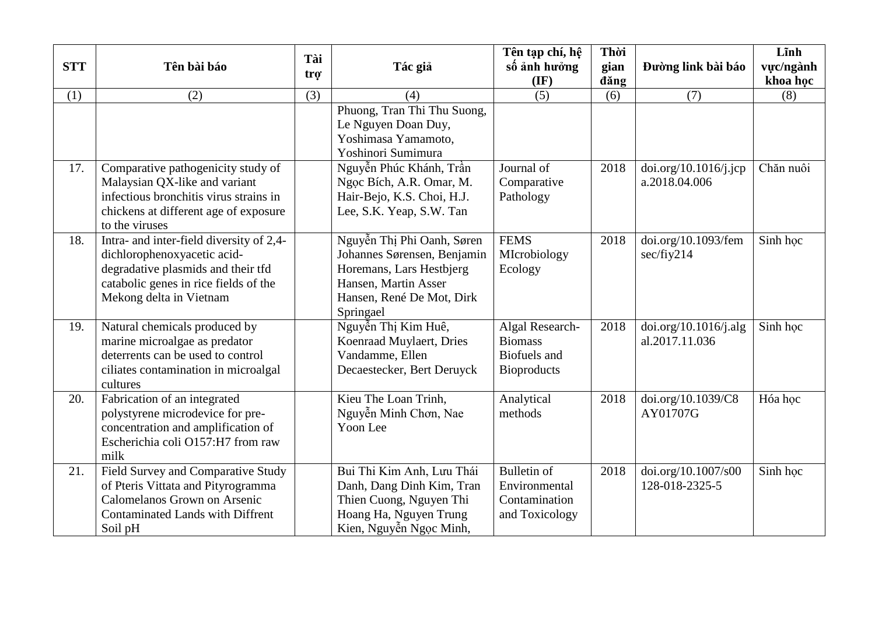| <b>STT</b> | Tên bài báo                                                                                                                                                                       | Tài<br>tro | Tác giả                                                                                                                                                 | Tên tạp chí, hệ<br>số ảnh hưởng                                         | Thời<br>gian | Đường link bài báo                      | Lĩnh<br>vực/ngành |
|------------|-----------------------------------------------------------------------------------------------------------------------------------------------------------------------------------|------------|---------------------------------------------------------------------------------------------------------------------------------------------------------|-------------------------------------------------------------------------|--------------|-----------------------------------------|-------------------|
|            |                                                                                                                                                                                   |            |                                                                                                                                                         | $(\mathbf{IF})$                                                         | dăng         |                                         | khoa học          |
| (1)        | (2)                                                                                                                                                                               | (3)        | (4)                                                                                                                                                     | (5)                                                                     | (6)          | (7)                                     | (8)               |
|            |                                                                                                                                                                                   |            | Phuong, Tran Thi Thu Suong,<br>Le Nguyen Doan Duy,<br>Yoshimasa Yamamoto,<br>Yoshinori Sumimura                                                         |                                                                         |              |                                         |                   |
| 17.        | Comparative pathogenicity study of<br>Malaysian QX-like and variant<br>infectious bronchitis virus strains in<br>chickens at different age of exposure<br>to the viruses          |            | Nguyễn Phúc Khánh, Trần<br>Ngọc Bích, A.R. Omar, M.<br>Hair-Bejo, K.S. Choi, H.J.<br>Lee, S.K. Yeap, S.W. Tan                                           | Journal of<br>Comparative<br>Pathology                                  | 2018         | doi.org/10.1016/j.jcp<br>a.2018.04.006  | Chăn nuôi         |
| 18.        | Intra- and inter-field diversity of 2,4-<br>dichlorophenoxyacetic acid-<br>degradative plasmids and their tfd<br>catabolic genes in rice fields of the<br>Mekong delta in Vietnam |            | Nguyễn Thị Phi Oanh, Søren<br>Johannes Sørensen, Benjamin<br>Horemans, Lars Hestbjerg<br>Hansen, Martin Asser<br>Hansen, René De Mot, Dirk<br>Springael | <b>FEMS</b><br>MIcrobiology<br>Ecology                                  | 2018         | doi.org/10.1093/fem<br>sec/fiy214       | Sinh hoc          |
| 19.        | Natural chemicals produced by<br>marine microalgae as predator<br>deterrents can be used to control<br>ciliates contamination in microalgal<br>cultures                           |            | Nguyễn Thị Kim Huê,<br>Koenraad Muylaert, Dries<br>Vandamme, Ellen<br>Decaestecker, Bert Deruyck                                                        | Algal Research-<br><b>Biomass</b><br>Biofuels and<br><b>Bioproducts</b> | 2018         | doi.org/10.1016/j.alg<br>al.2017.11.036 | Sinh hoc          |
| 20.        | Fabrication of an integrated<br>polystyrene microdevice for pre-<br>concentration and amplification of<br>Escherichia coli O157:H7 from raw<br>milk                               |            | Kieu The Loan Trinh,<br>Nguyễn Minh Chơn, Nae<br>Yoon Lee                                                                                               | Analytical<br>methods                                                   | 2018         | doi.org/10.1039/C8<br>AY01707G          | Hóa học           |
| 21.        | Field Survey and Comparative Study<br>of Pteris Vittata and Pityrogramma<br><b>Calomelanos Grown on Arsenic</b><br><b>Contaminated Lands with Diffrent</b><br>Soil pH             |            | Bui Thi Kim Anh, Lưu Thái<br>Danh, Dang Dinh Kim, Tran<br>Thien Cuong, Nguyen Thi<br>Hoang Ha, Nguyen Trung<br>Kien, Nguyễn Ngọc Minh,                  | <b>Bulletin of</b><br>Environmental<br>Contamination<br>and Toxicology  | 2018         | doi.org/10.1007/s00<br>128-018-2325-5   | Sinh học          |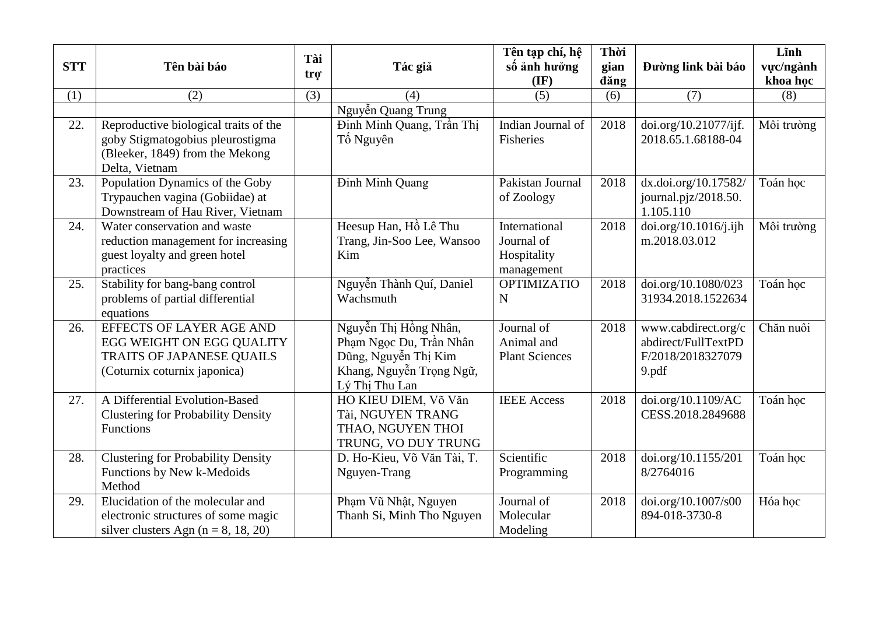| <b>STT</b> | Tên bài báo                                                                                                                    | Tài              | Tác giả                                                                                                                | Tên tạp chí, hệ<br>số ảnh hưởng                          | Thời<br>gian | Đường link bài báo                                                       | Lĩnh<br>vực/ngành |
|------------|--------------------------------------------------------------------------------------------------------------------------------|------------------|------------------------------------------------------------------------------------------------------------------------|----------------------------------------------------------|--------------|--------------------------------------------------------------------------|-------------------|
|            |                                                                                                                                | tro <sup>-</sup> |                                                                                                                        | $(\mathbf{IF})$                                          | dăng         |                                                                          | khoa học          |
| (1)        | (2)                                                                                                                            | (3)              | (4)                                                                                                                    | (5)                                                      | (6)          | (7)                                                                      | (8)               |
|            |                                                                                                                                |                  | Nguyễn Quang Trung                                                                                                     |                                                          |              |                                                                          |                   |
| 22.        | Reproductive biological traits of the<br>goby Stigmatogobius pleurostigma<br>(Bleeker, 1849) from the Mekong<br>Delta, Vietnam |                  | Đinh Minh Quang, Trần Thị<br>Tố Nguyên                                                                                 | Indian Journal of<br>Fisheries                           | 2018         | doi.org/10.21077/ijf.<br>2018.65.1.68188-04                              | Môi trường        |
| 23.        | Population Dynamics of the Goby<br>Trypauchen vagina (Gobiidae) at<br>Downstream of Hau River, Vietnam                         |                  | <b>Dinh Minh Quang</b>                                                                                                 | Pakistan Journal<br>of Zoology                           | 2018         | dx.doi.org/10.17582/<br>journal.pjz/2018.50.<br>1.105.110                | Toán học          |
| 24.        | Water conservation and waste<br>reduction management for increasing<br>guest loyalty and green hotel<br>practices              |                  | Heesup Han, Hồ Lê Thu<br>Trang, Jin-Soo Lee, Wansoo<br>Kim                                                             | International<br>Journal of<br>Hospitality<br>management | 2018         | doi.org/10.1016/j.ijh<br>m.2018.03.012                                   | Môi trường        |
| 25.        | Stability for bang-bang control<br>problems of partial differential<br>equations                                               |                  | Nguyễn Thành Quí, Daniel<br>Wachsmuth                                                                                  | <b>OPTIMIZATIO</b><br>N                                  | 2018         | doi.org/10.1080/023<br>31934.2018.1522634                                | Toán học          |
| 26.        | EFFECTS OF LAYER AGE AND<br>EGG WEIGHT ON EGG QUALITY<br>TRAITS OF JAPANESE QUAILS<br>(Coturnix coturnix japonica)             |                  | Nguyễn Thị Hồng Nhân,<br>Phạm Ngọc Du, Trần Nhân<br>Dũng, Nguyễn Thị Kim<br>Khang, Nguyễn Trọng Ngữ,<br>Lý Thị Thu Lan | Journal of<br>Animal and<br><b>Plant Sciences</b>        | 2018         | www.cabdirect.org/c<br>abdirect/FullTextPD<br>F/2018/2018327079<br>9.pdf | Chăn nuôi         |
| 27.        | A Differential Evolution-Based<br><b>Clustering for Probability Density</b><br>Functions                                       |                  | HO KIEU DIEM, Võ Văn<br>Tài, NGUYEN TRANG<br>THAO, NGUYEN THOI<br>TRUNG, VO DUY TRUNG                                  | <b>IEEE</b> Access                                       | 2018         | doi.org/10.1109/AC<br>CESS.2018.2849688                                  | Toán học          |
| 28.        | <b>Clustering for Probability Density</b><br>Functions by New k-Medoids<br>Method                                              |                  | D. Ho-Kieu, Võ Văn Tài, T.<br>Nguyen-Trang                                                                             | Scientific<br>Programming                                | 2018         | doi.org/10.1155/201<br>8/2764016                                         | Toán hoc          |
| 29.        | Elucidation of the molecular and<br>electronic structures of some magic<br>silver clusters Agn $(n = 8, 18, 20)$               |                  | Phạm Vũ Nhật, Nguyen<br>Thanh Si, Minh Tho Nguyen                                                                      | Journal of<br>Molecular<br>Modeling                      | 2018         | doi.org/10.1007/s00<br>894-018-3730-8                                    | Hóa học           |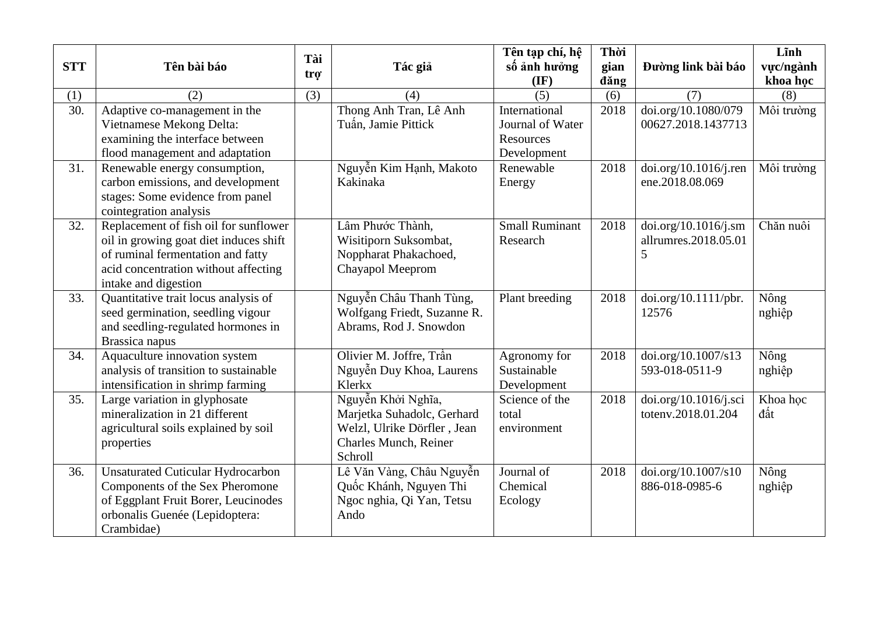| <b>STT</b>        | Tên bài báo                                                                                                                                                                          | Tài | Tác giả                                                                                                             | Tên tạp chí, hệ<br>số ảnh hưởng                                      | Thời<br>gian | Đường link bài báo                                | Lĩnh<br>vực/ngành |
|-------------------|--------------------------------------------------------------------------------------------------------------------------------------------------------------------------------------|-----|---------------------------------------------------------------------------------------------------------------------|----------------------------------------------------------------------|--------------|---------------------------------------------------|-------------------|
|                   |                                                                                                                                                                                      | trợ |                                                                                                                     | $(\mathbf{IF})$                                                      | dăng         |                                                   | khoa học          |
| (1)               | (2)                                                                                                                                                                                  | (3) | (4)                                                                                                                 | (5)                                                                  | (6)          | (7)                                               | (8)               |
| $\overline{30}$ . | Adaptive co-management in the<br>Vietnamese Mekong Delta:<br>examining the interface between<br>flood management and adaptation                                                      |     | Thong Anh Tran, Lê Anh<br>Tuấn, Jamie Pittick                                                                       | International<br>Journal of Water<br><b>Resources</b><br>Development | 2018         | doi.org/10.1080/079<br>00627.2018.1437713         | Môi trường        |
| 31.               | Renewable energy consumption,<br>carbon emissions, and development<br>stages: Some evidence from panel<br>cointegration analysis                                                     |     | Nguyễn Kim Hạnh, Makoto<br>Kakinaka                                                                                 | Renewable<br>Energy                                                  | 2018         | doi.org/10.1016/j.ren<br>ene.2018.08.069          | Môi trường        |
| 32.               | Replacement of fish oil for sunflower<br>oil in growing goat diet induces shift<br>of ruminal fermentation and fatty<br>acid concentration without affecting<br>intake and digestion |     | Lâm Phước Thành,<br>Wisitiporn Suksombat,<br>Noppharat Phakachoed,<br>Chayapol Meeprom                              | <b>Small Ruminant</b><br>Research                                    | 2018         | doi.org/10.1016/j.sm<br>allrumres.2018.05.01<br>5 | Chăn nuôi         |
| 33.               | Quantitative trait locus analysis of<br>seed germination, seedling vigour<br>and seedling-regulated hormones in<br>Brassica napus                                                    |     | Nguyễn Châu Thanh Tùng,<br>Wolfgang Friedt, Suzanne R.<br>Abrams, Rod J. Snowdon                                    | Plant breeding                                                       | 2018         | doi.org/10.1111/pbr.<br>12576                     | Nông<br>nghiệp    |
| 34.               | Aquaculture innovation system<br>analysis of transition to sustainable<br>intensification in shrimp farming                                                                          |     | Olivier M. Joffre, Trần<br>Nguyễn Duy Khoa, Laurens<br>Klerkx                                                       | Agronomy for<br>Sustainable<br>Development                           | 2018         | doi.org/10.1007/s13<br>593-018-0511-9             | Nông<br>nghiệp    |
| 35.               | Large variation in glyphosate<br>mineralization in 21 different<br>agricultural soils explained by soil<br>properties                                                                |     | Nguyễn Khởi Nghĩa,<br>Marjetka Suhadolc, Gerhard<br>Welzl, Ulrike Dörfler, Jean<br>Charles Munch, Reiner<br>Schroll | Science of the<br>total<br>environment                               | 2018         | doi.org/10.1016/j.sci<br>toteny.2018.01.204       | Khoa học<br>đất   |
| 36.               | <b>Unsaturated Cuticular Hydrocarbon</b><br>Components of the Sex Pheromone<br>of Eggplant Fruit Borer, Leucinodes<br>orbonalis Guenée (Lepidoptera:<br>Crambidae)                   |     | Lê Văn Vàng, Châu Nguyễn<br>Quốc Khánh, Nguyen Thi<br>Ngoc nghia, Qi Yan, Tetsu<br>Ando                             | Journal of<br>Chemical<br>Ecology                                    | 2018         | doi.org/10.1007/s10<br>886-018-0985-6             | Nông<br>nghiệp    |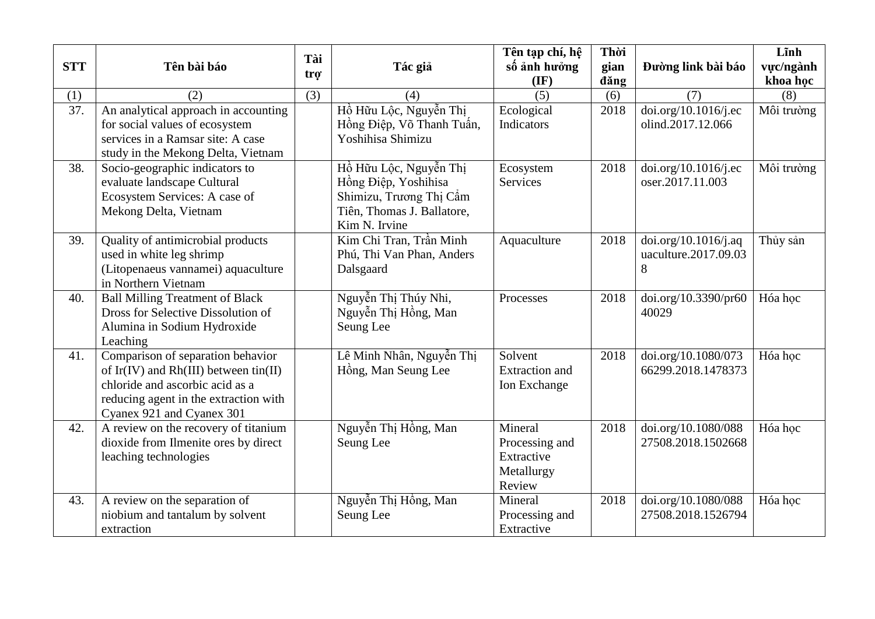| <b>STT</b> | Tên bài báo                                                                                                                                                                         | Tài              | Tác giả                                                                                                                  | Tên tạp chí, hệ<br>số ảnh hưởng                                 | Thời<br>gian | Đường link bài báo                                        | Lĩnh<br>vưc/ngành |
|------------|-------------------------------------------------------------------------------------------------------------------------------------------------------------------------------------|------------------|--------------------------------------------------------------------------------------------------------------------------|-----------------------------------------------------------------|--------------|-----------------------------------------------------------|-------------------|
|            |                                                                                                                                                                                     | tro <sup>-</sup> |                                                                                                                          | $(\mathbf{IF})$                                                 | dăng         |                                                           | khoa học          |
| (1)        | (2)                                                                                                                                                                                 | (3)              | (4)                                                                                                                      | (5)                                                             | (6)          | (7)                                                       | (8)               |
| 37.        | An analytical approach in accounting<br>for social values of ecosystem<br>services in a Ramsar site: A case<br>study in the Mekong Delta, Vietnam                                   |                  | Hồ Hữu Lộc, Nguyễn Thị<br>Hồng Điệp, Võ Thanh Tuấn,<br>Yoshihisa Shimizu                                                 | Ecological<br>Indicators                                        | 2018         | doi.org/10.1016/j.ec<br>olind.2017.12.066                 | Môi trường        |
| 38.        | Socio-geographic indicators to<br>evaluate landscape Cultural<br>Ecosystem Services: A case of<br>Mekong Delta, Vietnam                                                             |                  | Hồ Hữu Lộc, Nguyễn Thị<br>Hồng Điệp, Yoshihisa<br>Shimizu, Trương Thị Cẩm<br>Tiên, Thomas J. Ballatore,<br>Kim N. Irvine | Ecosystem<br>Services                                           | 2018         | $\frac{1}{1016}$ doi.org/10.1016/j.ec<br>oser.2017.11.003 | Môi trường        |
| 39.        | Quality of antimicrobial products<br>used in white leg shrimp<br>(Litopenaeus vannamei) aquaculture<br>in Northern Vietnam                                                          |                  | Kim Chi Tran, Trần Minh<br>Phú, Thi Van Phan, Anders<br>Dalsgaard                                                        | Aquaculture                                                     | 2018         | doi.org/10.1016/j.aq<br>uaculture.2017.09.03<br>8         | Thủy sản          |
| 40.        | <b>Ball Milling Treatment of Black</b><br>Dross for Selective Dissolution of<br>Alumina in Sodium Hydroxide<br>Leaching                                                             |                  | Nguyễn Thị Thúy Nhi,<br>Nguyễn Thị Hồng, Man<br>Seung Lee                                                                | Processes                                                       | 2018         | doi.org/10.3390/pr60<br>40029                             | Hóa hoc           |
| 41.        | Comparison of separation behavior<br>of Ir(IV) and Rh(III) between tin(II)<br>chloride and ascorbic acid as a<br>reducing agent in the extraction with<br>Cyanex 921 and Cyanex 301 |                  | Lê Minh Nhân, Nguyễn Thị<br>Hồng, Man Seung Lee                                                                          | Solvent<br><b>Extraction</b> and<br>Ion Exchange                | 2018         | doi.org/10.1080/073<br>66299.2018.1478373                 | Hóa học           |
| 42.        | A review on the recovery of titanium<br>dioxide from Ilmenite ores by direct<br>leaching technologies                                                                               |                  | Nguyễn Thị Hồng, Man<br>Seung Lee                                                                                        | Mineral<br>Processing and<br>Extractive<br>Metallurgy<br>Review | 2018         | doi.org/10.1080/088<br>27508.2018.1502668                 | Hóa hoc           |
| 43.        | A review on the separation of<br>niobium and tantalum by solvent<br>extraction                                                                                                      |                  | Nguyễn Thị Hồng, Man<br>Seung Lee                                                                                        | Mineral<br>Processing and<br>Extractive                         | 2018         | doi.org/10.1080/088<br>27508.2018.1526794                 | Hóa học           |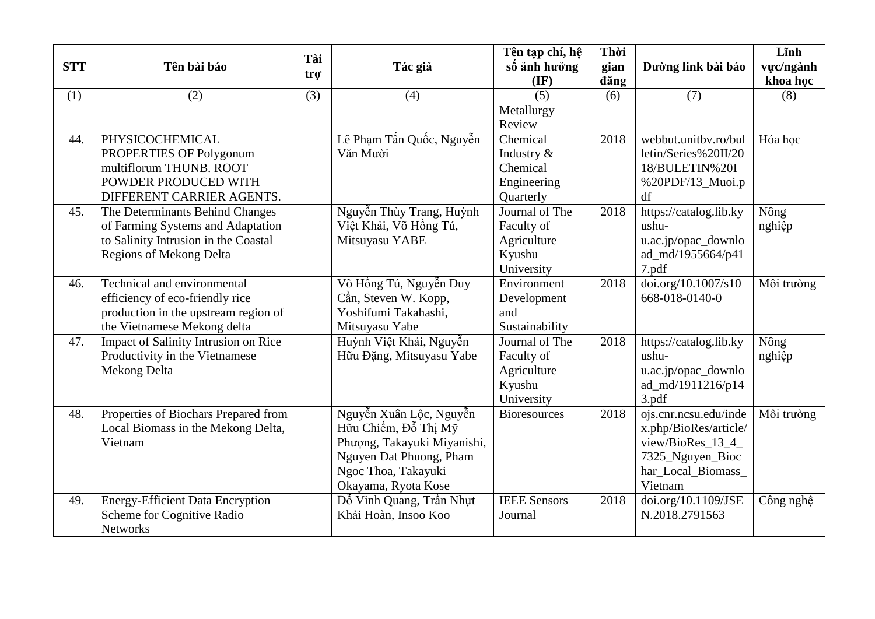| <b>STT</b> | Tên bài báo                                                                                                                                    | Tài<br>trợ | Tác giả                                                                                                                                                 | Tên tạp chí, hệ<br>số ảnh hưởng<br>$(\mathbf{IF})$                  | Thời<br>gian<br>dăng | Đường link bài báo                                                                                                       | Lĩnh<br>vực/ngành<br>khoa học |
|------------|------------------------------------------------------------------------------------------------------------------------------------------------|------------|---------------------------------------------------------------------------------------------------------------------------------------------------------|---------------------------------------------------------------------|----------------------|--------------------------------------------------------------------------------------------------------------------------|-------------------------------|
| (1)        | (2)                                                                                                                                            | (3)        | (4)                                                                                                                                                     | (5)                                                                 | (6)                  | (7)                                                                                                                      | (8)                           |
|            |                                                                                                                                                |            |                                                                                                                                                         | Metallurgy<br>Review                                                |                      |                                                                                                                          |                               |
| 44.        | PHYSICOCHEMICAL<br>PROPERTIES OF Polygonum<br>multiflorum THUNB. ROOT<br>POWDER PRODUCED WITH<br>DIFFERENT CARRIER AGENTS.                     |            | Lê Phạm Tấn Quốc, Nguyễn<br>Văn Mười                                                                                                                    | Chemical<br>Industry &<br>Chemical<br>Engineering<br>Quarterly      | 2018                 | webbut.unitbv.ro/bul<br>letin/Series%20II/20<br>18/BULETIN%20I<br>%20PDF/13_Muoi.p<br>df                                 | Hóa hoc                       |
| 45.        | The Determinants Behind Changes<br>of Farming Systems and Adaptation<br>to Salinity Intrusion in the Coastal<br><b>Regions of Mekong Delta</b> |            | Nguyễn Thùy Trang, Huỳnh<br>Việt Khải, Võ Hồng Tú,<br>Mitsuyasu YABE                                                                                    | Journal of The<br>Faculty of<br>Agriculture<br>Kyushu<br>University | 2018                 | https://catalog.lib.ky<br>ushu-<br>u.ac.jp/opac_downlo<br>ad_md/1955664/p41<br>7.pdf                                     | Nông<br>nghiệp                |
| 46.        | Technical and environmental<br>efficiency of eco-friendly rice<br>production in the upstream region of<br>the Vietnamese Mekong delta          |            | Võ Hồng Tú, Nguyễn Duy<br>Cần, Steven W. Kopp,<br>Yoshifumi Takahashi,<br>Mitsuyasu Yabe                                                                | Environment<br>Development<br>and<br>Sustainability                 | 2018                 | doi.org/10.1007/s10<br>668-018-0140-0                                                                                    | Môi trường                    |
| 47.        | Impact of Salinity Intrusion on Rice<br>Productivity in the Vietnamese<br>Mekong Delta                                                         |            | Huỳnh Việt Khải, Nguyễn<br>Hữu Đặng, Mitsuyasu Yabe                                                                                                     | Journal of The<br>Faculty of<br>Agriculture<br>Kyushu<br>University | 2018                 | https://catalog.lib.ky<br>ushu-<br>u.ac.jp/opac_downlo<br>ad_md/1911216/p14<br>3.pdf                                     | Nông<br>nghiệp                |
| 48.        | Properties of Biochars Prepared from<br>Local Biomass in the Mekong Delta,<br>Vietnam                                                          |            | Nguyễn Xuân Lộc, Nguyễn<br>Hữu Chiếm, Đỗ Thị Mỹ<br>Phượng, Takayuki Miyanishi,<br>Nguyen Dat Phuong, Pham<br>Ngoc Thoa, Takayuki<br>Okayama, Ryota Kose | <b>Bioresources</b>                                                 | 2018                 | ojs.cnr.ncsu.edu/inde<br>x.php/BioRes/article/<br>view/BioRes_13_4_<br>7325_Nguyen_Bioc<br>har_Local_Biomass_<br>Vietnam | Môi trường                    |
| 49.        | <b>Energy-Efficient Data Encryption</b><br>Scheme for Cognitive Radio<br><b>Networks</b>                                                       |            | Đỗ Vinh Quang, Trần Nhựt<br>Khải Hoàn, Insoo Koo                                                                                                        | <b>IEEE</b> Sensors<br>Journal                                      | 2018                 | doi.org/10.1109/JSE<br>N.2018.2791563                                                                                    | Công nghệ                     |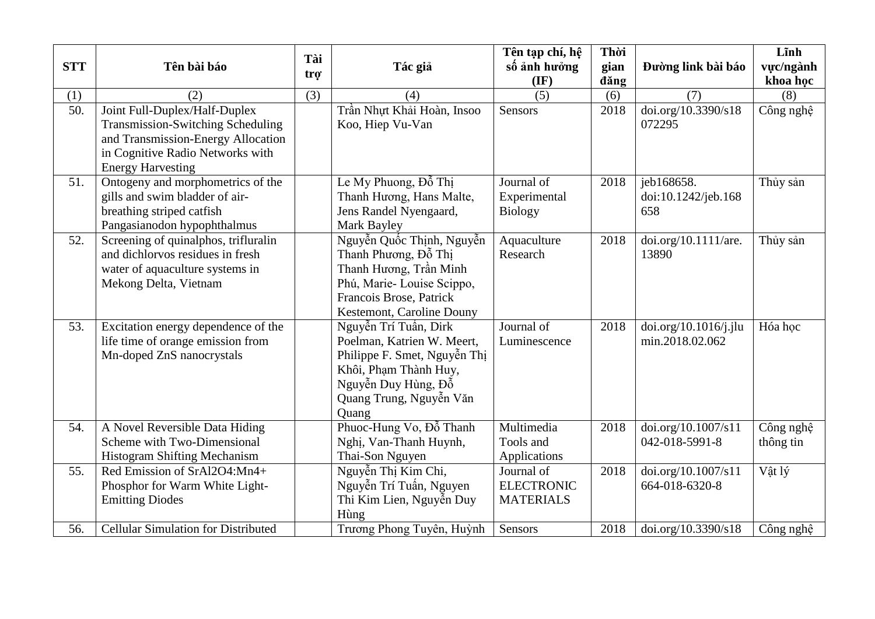| <b>STT</b> | Tên bài báo                                                                                                                                                                     | Tài<br>tro <sup>-</sup> | Tác giả                                                                                                                                                                 | Tên tạp chí, hệ<br>số ảnh hưởng                                | Thời<br>gian | Đường link bài báo                                           | Lĩnh<br>vực/ngành      |
|------------|---------------------------------------------------------------------------------------------------------------------------------------------------------------------------------|-------------------------|-------------------------------------------------------------------------------------------------------------------------------------------------------------------------|----------------------------------------------------------------|--------------|--------------------------------------------------------------|------------------------|
|            |                                                                                                                                                                                 |                         |                                                                                                                                                                         | $(\mathbf{IF})$                                                | dăng         |                                                              | khoa học               |
| (1)        | (2)                                                                                                                                                                             | (3)                     | (4)                                                                                                                                                                     | (5)                                                            | (6)          | (7)                                                          | (8)                    |
| 50.        | Joint Full-Duplex/Half-Duplex<br><b>Transmission-Switching Scheduling</b><br>and Transmission-Energy Allocation<br>in Cognitive Radio Networks with<br><b>Energy Harvesting</b> |                         | Trần Nhựt Khải Hoàn, Insoo<br>Koo, Hiep Vu-Van                                                                                                                          | Sensors                                                        | 2018         | doi.org/10.3390/s18<br>072295                                | Công nghệ              |
| 51.        | Ontogeny and morphometrics of the<br>gills and swim bladder of air-<br>breathing striped catfish<br>Pangasianodon hypophthalmus                                                 |                         | Le My Phuong, Đỗ Thị<br>Thanh Hương, Hans Malte,<br>Jens Randel Nyengaard,<br>Mark Bayley                                                                               | Journal of<br>Experimental<br><b>Biology</b>                   | 2018         | jeb168658.<br>doi:10.1242/jeb.168<br>658                     | Thủy sản               |
| 52.        | Screening of quinalphos, trifluralin<br>and dichlorvos residues in fresh<br>water of aquaculture systems in<br>Mekong Delta, Vietnam                                            |                         | Nguyễn Quốc Thịnh, Nguyễn<br>Thanh Phương, Đỗ Thị<br>Thanh Hương, Trần Minh<br>Phú, Marie-Louise Scippo,<br>Francois Brose, Patrick<br>Kestemont, Caroline Douny        | Aquaculture<br>Research                                        | 2018         | doi.org/10.1111/are.<br>13890                                | Thủy sản               |
| 53.        | Excitation energy dependence of the<br>life time of orange emission from<br>Mn-doped ZnS nanocrystals                                                                           |                         | Nguyễn Trí Tuấn, Dirk<br>Poelman, Katrien W. Meert,<br>Philippe F. Smet, Nguyễn Thị<br>Khôi, Phạm Thành Huy,<br>Nguyễn Duy Hùng, Đỗ<br>Quang Trung, Nguyễn Văn<br>Quang | Journal of<br>Luminescence                                     | 2018         | doi.org/10.1016/j.jlu<br>min.2018.02.062                     | Hóa học                |
| 54.        | A Novel Reversible Data Hiding<br>Scheme with Two-Dimensional<br>Histogram Shifting Mechanism                                                                                   |                         | Phuoc-Hung Vo, Đỗ Thanh<br>Nghị, Van-Thanh Huynh,<br>Thai-Son Nguyen                                                                                                    | Multimedia<br>Tools and<br>Applications                        | 2018         | doi.org/10.1007/s11<br>042-018-5991-8                        | Công nghệ<br>thông tin |
| 55.<br>56. | Red Emission of SrAl2O4:Mn4+<br>Phosphor for Warm White Light-<br><b>Emitting Diodes</b><br><b>Cellular Simulation for Distributed</b>                                          |                         | Nguyễn Thị Kim Chi,<br>Nguyễn Trí Tuấn, Nguyen<br>Thi Kim Lien, Nguyễn Duy<br>Hùng<br>Trương Phong Tuyên, Huỳnh                                                         | Journal of<br><b>ELECTRONIC</b><br><b>MATERIALS</b><br>Sensors | 2018<br>2018 | doi.org/10.1007/s11<br>664-018-6320-8<br>doi.org/10.3390/s18 | Vật lý<br>Công nghệ    |
|            |                                                                                                                                                                                 |                         |                                                                                                                                                                         |                                                                |              |                                                              |                        |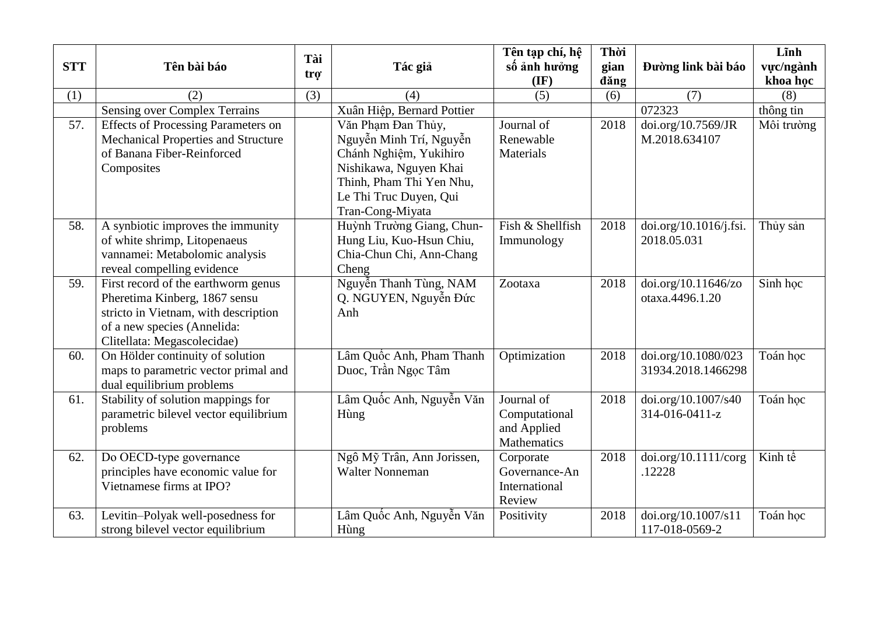| <b>STT</b> | Tên bài báo                                | Tài              | Tác giả                    | Tên tạp chí, hệ<br>số ảnh hưởng | Thời<br>gian | Đường link bài báo     | Lĩnh<br>vực/ngành             |
|------------|--------------------------------------------|------------------|----------------------------|---------------------------------|--------------|------------------------|-------------------------------|
|            |                                            | tro <sup>-</sup> |                            | $(\mathbf{IF})$                 | dăng         |                        | khoa học                      |
| (1)        | (2)                                        | (3)              | (4)                        | (5)                             | (6)          | (7)                    | (8)                           |
|            | <b>Sensing over Complex Terrains</b>       |                  | Xuân Hiệp, Bernard Pottier |                                 |              | 072323                 | thông tin                     |
| 57.        | <b>Effects of Processing Parameters on</b> |                  | Văn Phạm Đan Thủy,         | Journal of                      | 2018         | doi.org/10.7569/JR     | Môi trường                    |
|            | <b>Mechanical Properties and Structure</b> |                  | Nguyễn Minh Trí, Nguyễn    | Renewable                       |              | M.2018.634107          |                               |
|            | of Banana Fiber-Reinforced                 |                  | Chánh Nghiệm, Yukihiro     | Materials                       |              |                        |                               |
|            | Composites                                 |                  | Nishikawa, Nguyen Khai     |                                 |              |                        |                               |
|            |                                            |                  | Thinh, Pham Thi Yen Nhu,   |                                 |              |                        |                               |
|            |                                            |                  | Le Thi Truc Duyen, Qui     |                                 |              |                        |                               |
|            |                                            |                  | Tran-Cong-Miyata           |                                 |              |                        |                               |
| 58.        | A synbiotic improves the immunity          |                  | Huỳnh Trường Giang, Chun-  | Fish & Shellfish                | 2018         | doi.org/10.1016/j.fsi. | Thủy sản                      |
|            | of white shrimp, Litopenaeus               |                  | Hung Liu, Kuo-Hsun Chiu,   | Immunology                      |              | 2018.05.031            |                               |
|            | vannamei: Metabolomic analysis             |                  | Chia-Chun Chi, Ann-Chang   |                                 |              |                        |                               |
|            | reveal compelling evidence                 |                  | Cheng                      |                                 |              |                        |                               |
| 59.        | First record of the earthworm genus        |                  | Nguyễn Thanh Tùng, NAM     | Zootaxa                         | 2018         | doi.org/10.11646/zo    | $\overline{\text{S}}$ inh học |
|            | Pheretima Kinberg, 1867 sensu              |                  | Q. NGUYEN, Nguyễn Đức      |                                 |              | otaxa.4496.1.20        |                               |
|            | stricto in Vietnam, with description       |                  | Anh                        |                                 |              |                        |                               |
|            | of a new species (Annelida:                |                  |                            |                                 |              |                        |                               |
|            | Clitellata: Megascolecidae)                |                  |                            |                                 |              |                        |                               |
| 60.        | On Hölder continuity of solution           |                  | Lâm Quốc Anh, Pham Thanh   | Optimization                    | 2018         | doi.org/10.1080/023    | Toán hoc                      |
|            | maps to parametric vector primal and       |                  | Duoc, Trần Ngọc Tâm        |                                 |              | 31934.2018.1466298     |                               |
|            | dual equilibrium problems                  |                  |                            |                                 |              |                        |                               |
| 61.        | Stability of solution mappings for         |                  | Lâm Quốc Anh, Nguyễn Văn   | Journal of                      | 2018         | doi.org/10.1007/s40    | Toán học                      |
|            | parametric bilevel vector equilibrium      |                  | Hùng                       | Computational                   |              | 314-016-0411-z         |                               |
|            | problems                                   |                  |                            | and Applied                     |              |                        |                               |
|            |                                            |                  |                            | Mathematics                     |              |                        |                               |
| 62.        | Do OECD-type governance                    |                  | Ngô Mỹ Trân, Ann Jorissen, | Corporate                       | 2018         | doi.org/10.1111/corg   | Kinh tế                       |
|            | principles have economic value for         |                  | <b>Walter Nonneman</b>     | Governance-An                   |              | .12228                 |                               |
|            | Vietnamese firms at IPO?                   |                  |                            | International                   |              |                        |                               |
|            |                                            |                  |                            | Review                          |              |                        |                               |
| 63.        | Levitin-Polyak well-posedness for          |                  | Lâm Quốc Anh, Nguyễn Văn   | Positivity                      | 2018         | doi.org/10.1007/s11    | Toán học                      |
|            | strong bilevel vector equilibrium          |                  | Hùng                       |                                 |              | 117-018-0569-2         |                               |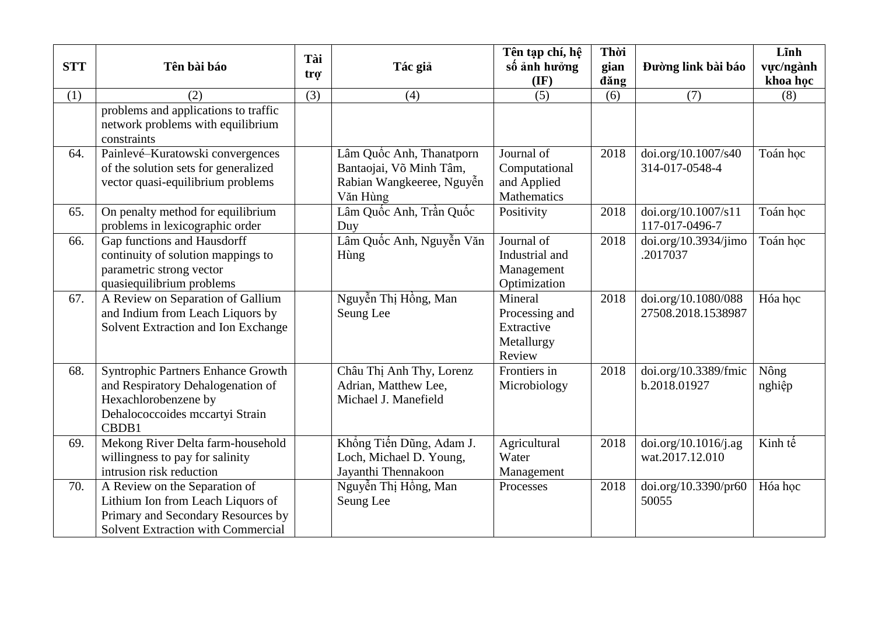| <b>STT</b> | Tên bài báo                                                                                                                                           | Tài | Tác giả                                                                                      | Tên tạp chí, hệ<br>số ảnh hưởng                                 | Thời<br>gian | Đường link bài báo                        | Lĩnh<br>vực/ngành |
|------------|-------------------------------------------------------------------------------------------------------------------------------------------------------|-----|----------------------------------------------------------------------------------------------|-----------------------------------------------------------------|--------------|-------------------------------------------|-------------------|
|            |                                                                                                                                                       | trợ |                                                                                              | $(\mathbf{IF})$                                                 | dăng         |                                           | khoa học          |
| (1)        | (2)                                                                                                                                                   | (3) | (4)                                                                                          | (5)                                                             | (6)          | (7)                                       | (8)               |
|            | problems and applications to traffic<br>network problems with equilibrium<br>constraints                                                              |     |                                                                                              |                                                                 |              |                                           |                   |
| 64.        | Painlevé-Kuratowski convergences<br>of the solution sets for generalized<br>vector quasi-equilibrium problems                                         |     | Lâm Quốc Anh, Thanatporn<br>Bantaojai, Võ Minh Tâm,<br>Rabian Wangkeeree, Nguyễn<br>Văn Hùng | Journal of<br>Computational<br>and Applied<br>Mathematics       | 2018         | doi.org/10.1007/s40<br>314-017-0548-4     | Toán học          |
| 65.        | On penalty method for equilibrium<br>problems in lexicographic order                                                                                  |     | Lâm Quốc Anh, Trần Quốc<br>Duy                                                               | Positivity                                                      | 2018         | doi.org/10.1007/s11<br>117-017-0496-7     | Toán học          |
| 66.        | Gap functions and Hausdorff<br>continuity of solution mappings to<br>parametric strong vector<br>quasiequilibrium problems                            |     | Lâm Quốc Anh, Nguyễn Văn<br>Hùng                                                             | Journal of<br>Industrial and<br>Management<br>Optimization      | 2018         | doi.org/10.3934/jimo<br>.2017037          | Toán học          |
| 67.        | A Review on Separation of Gallium<br>and Indium from Leach Liquors by<br>Solvent Extraction and Ion Exchange                                          |     | Nguyễn Thị Hồng, Man<br>Seung Lee                                                            | Mineral<br>Processing and<br>Extractive<br>Metallurgy<br>Review | 2018         | doi.org/10.1080/088<br>27508.2018.1538987 | Hóa hoc           |
| 68.        | Syntrophic Partners Enhance Growth<br>and Respiratory Dehalogenation of<br>Hexachlorobenzene by<br>Dehalococcoides mccartyi Strain<br>CBDB1           |     | Châu Thị Anh Thy, Lorenz<br>Adrian, Matthew Lee,<br>Michael J. Manefield                     | Frontiers in<br>Microbiology                                    | 2018         | doi.org/10.3389/fmic<br>b.2018.01927      | Nông<br>nghiệp    |
| 69.        | Mekong River Delta farm-household<br>willingness to pay for salinity<br>intrusion risk reduction                                                      |     | Khổng Tiến Dũng, Adam J.<br>Loch, Michael D. Young,<br>Jayanthi Thennakoon                   | Agricultural<br>Water<br>Management                             | 2018         | doi.org/10.1016/j.ag<br>wat.2017.12.010   | Kinh tế           |
| 70.        | A Review on the Separation of<br>Lithium Ion from Leach Liquors of<br>Primary and Secondary Resources by<br><b>Solvent Extraction with Commercial</b> |     | Nguyễn Thị Hồng, Man<br>Seung Lee                                                            | Processes                                                       | 2018         | doi.org/10.3390/pr60<br>50055             | Hóa học           |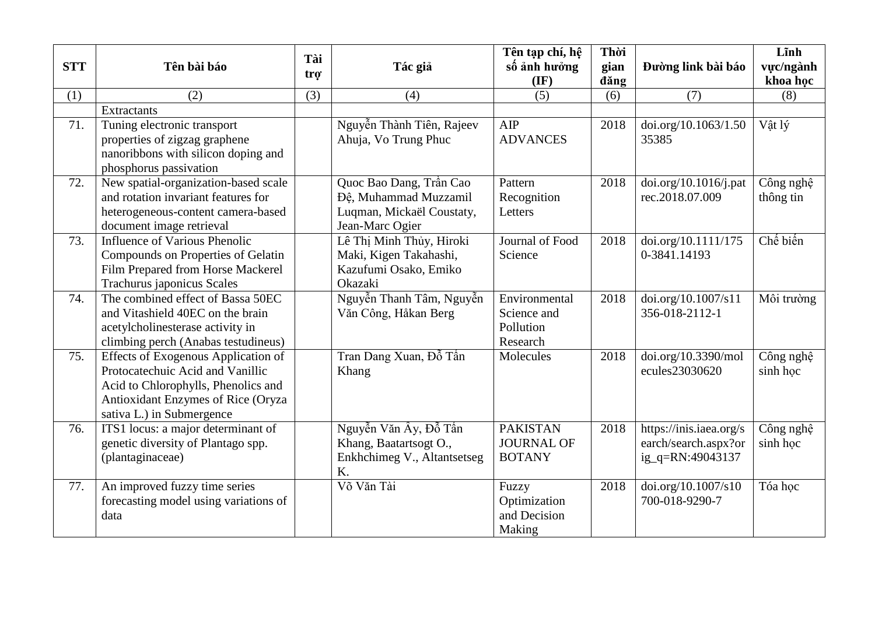| <b>STT</b> | Tên bài báo                                                                                                                                                                       | Tài              | Tác giả                                                                                          | Tên tạp chí, hệ<br>số ảnh hưởng                       | Thời<br>gian | Đường link bài báo                                                  | Lĩnh<br>vực/ngành      |
|------------|-----------------------------------------------------------------------------------------------------------------------------------------------------------------------------------|------------------|--------------------------------------------------------------------------------------------------|-------------------------------------------------------|--------------|---------------------------------------------------------------------|------------------------|
|            |                                                                                                                                                                                   | tro <sup>-</sup> |                                                                                                  | $(\mathbf{IF})$                                       | dăng         |                                                                     | khoa học               |
| (1)        | (2)                                                                                                                                                                               | (3)              | (4)                                                                                              | (5)                                                   | (6)          | (7)                                                                 | (8)                    |
|            | <b>Extractants</b>                                                                                                                                                                |                  |                                                                                                  |                                                       |              |                                                                     |                        |
| 71.        | Tuning electronic transport<br>properties of zigzag graphene<br>nanoribbons with silicon doping and<br>phosphorus passivation                                                     |                  | Nguyễn Thành Tiên, Rajeev<br>Ahuja, Vo Trung Phuc                                                | AIP<br><b>ADVANCES</b>                                | 2018         | doi.org/10.1063/1.50<br>35385                                       | Vật lý                 |
| 72.        | New spatial-organization-based scale<br>and rotation invariant features for<br>heterogeneous-content camera-based<br>document image retrieval                                     |                  | Quoc Bao Dang, Trần Cao<br>Đệ, Muhammad Muzzamil<br>Luqman, Mickaël Coustaty,<br>Jean-Marc Ogier | Pattern<br>Recognition<br>Letters                     | 2018         | doi.org/10.1016/j.path<br>rec.2018.07.009                           | Công nghệ<br>thông tin |
| 73.        | <b>Influence of Various Phenolic</b><br>Compounds on Properties of Gelatin<br>Film Prepared from Horse Mackerel<br>Trachurus japonicus Scales                                     |                  | Lê Thị Minh Thủy, Hiroki<br>Maki, Kigen Takahashi,<br>Kazufumi Osako, Emiko<br>Okazaki           | Journal of Food<br>Science                            | 2018         | doi.org/10.1111/175<br>0-3841.14193                                 | Chế biến               |
| 74.        | The combined effect of Bassa 50EC<br>and Vitashield 40EC on the brain<br>acetylcholinesterase activity in<br>climbing perch (Anabas testudineus)                                  |                  | Nguyễn Thanh Tâm, Nguyễn<br>Văn Công, Håkan Berg                                                 | Environmental<br>Science and<br>Pollution<br>Research | 2018         | doi.org/10.1007/s11<br>356-018-2112-1                               | Môi trường             |
| 75.        | Effects of Exogenous Application of<br>Protocatechuic Acid and Vanillic<br>Acid to Chlorophylls, Phenolics and<br>Antioxidant Enzymes of Rice (Oryza<br>sativa L.) in Submergence |                  | Tran Dang Xuan, Đỗ Tấn<br>Khang                                                                  | Molecules                                             | 2018         | doi.org/10.3390/mol<br>ecules23030620                               | Công nghệ<br>sinh học  |
| 76.        | ITS1 locus: a major determinant of<br>genetic diversity of Plantago spp.<br>(plantaginaceae)                                                                                      |                  | Nguyễn Văn Ây, Đỗ Tấn<br>Khang, Baatartsogt O.,<br>Enkhchimeg V., Altantsetseg<br>K.             | <b>PAKISTAN</b><br><b>JOURNAL OF</b><br><b>BOTANY</b> | 2018         | https://inis.iaea.org/s<br>earch/search.aspx?or<br>ig_q=RN:49043137 | Công nghệ<br>sinh học  |
| 77.        | An improved fuzzy time series<br>forecasting model using variations of<br>data                                                                                                    |                  | Võ Văn Tài                                                                                       | Fuzzy<br>Optimization<br>and Decision<br>Making       | 2018         | doi.org/10.1007/s10<br>700-018-9290-7                               | Tóa học                |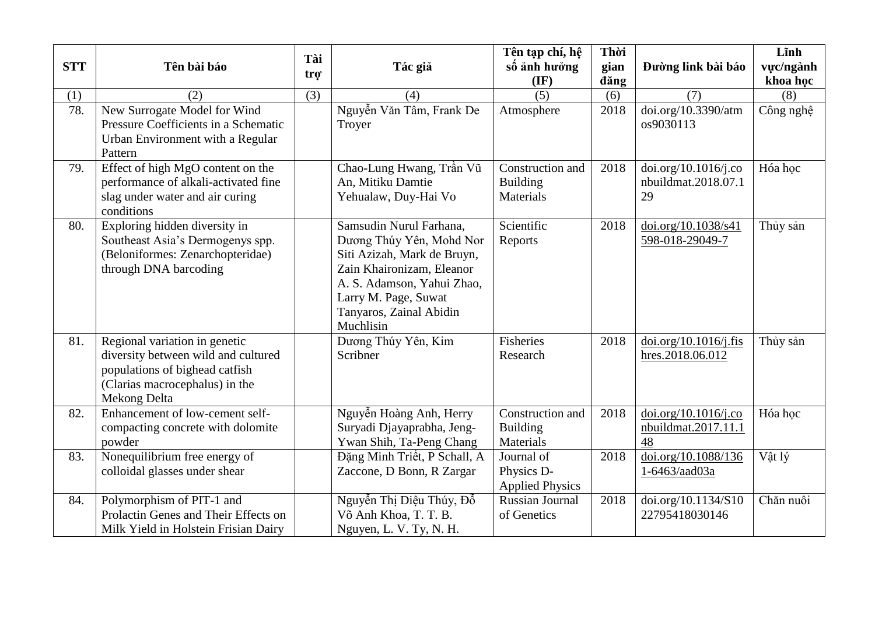| <b>STT</b> | Tên bài báo                                                                                                                                              | Tài<br>tro <sup>-</sup> | Tác giả                                                                                                                                                                                                       | Tên tạp chí, hệ<br>số ảnh hưởng<br>$(\mathbf{IF})$ | Thời<br>gian<br>dăng | Đường link bài báo                                | Lĩnh<br>vực/ngành<br>khoa học |
|------------|----------------------------------------------------------------------------------------------------------------------------------------------------------|-------------------------|---------------------------------------------------------------------------------------------------------------------------------------------------------------------------------------------------------------|----------------------------------------------------|----------------------|---------------------------------------------------|-------------------------------|
| (1)        | (2)                                                                                                                                                      | (3)                     | (4)                                                                                                                                                                                                           | (5)                                                | (6)                  | (7)                                               | (8)                           |
| 78.        | New Surrogate Model for Wind<br>Pressure Coefficients in a Schematic<br>Urban Environment with a Regular<br>Pattern                                      |                         | Nguyễn Văn Tâm, Frank De<br>Troyer                                                                                                                                                                            | Atmosphere                                         | 2018                 | doi.org/10.3390/atm<br>os9030113                  | Công nghệ                     |
| 79.        | Effect of high MgO content on the<br>performance of alkali-activated fine<br>slag under water and air curing<br>conditions                               |                         | Chao-Lung Hwang, Trần Vũ<br>An, Mitiku Damtie<br>Yehualaw, Duy-Hai Vo                                                                                                                                         | Construction and<br><b>Building</b><br>Materials   | 2018                 | doi.org/10.1016/j.co<br>nbuildmat.2018.07.1<br>29 | Hóa học                       |
| 80.        | Exploring hidden diversity in<br>Southeast Asia's Dermogenys spp.<br>(Beloniformes: Zenarchopteridae)<br>through DNA barcoding                           |                         | Samsudin Nurul Farhana,<br>Dương Thúy Yên, Mohd Nor<br>Siti Azizah, Mark de Bruyn,<br>Zain Khaironizam, Eleanor<br>A. S. Adamson, Yahui Zhao,<br>Larry M. Page, Suwat<br>Tanyaros, Zainal Abidin<br>Muchlisin | Scientific<br>Reports                              | 2018                 | doi.org/10.1038/s41<br>598-018-29049-7            | Thủy sản                      |
| 81.        | Regional variation in genetic<br>diversity between wild and cultured<br>populations of bighead catfish<br>(Clarias macrocephalus) in the<br>Mekong Delta |                         | Dương Thúy Yên, Kim<br>Scribner                                                                                                                                                                               | Fisheries<br>Research                              | 2018                 | doi.org/10.1016/j.fis<br>hres.2018.06.012         | Thủy sản                      |
| 82.        | Enhancement of low-cement self-<br>compacting concrete with dolomite<br>powder                                                                           |                         | Nguyễn Hoàng Anh, Herry<br>Suryadi Djayaprabha, Jeng-<br>Ywan Shih, Ta-Peng Chang                                                                                                                             | Construction and<br><b>Building</b><br>Materials   | 2018                 | doi.org/10.1016/j.co<br>nbuildmat.2017.11.1<br>48 | Hóa học                       |
| 83.        | Nonequilibrium free energy of<br>colloidal glasses under shear                                                                                           |                         | Đặng Minh Triết, P Schall, A<br>Zaccone, D Bonn, R Zargar                                                                                                                                                     | Journal of<br>Physics D-<br><b>Applied Physics</b> | 2018                 | doi.org/10.1088/136<br>1-6463/aad03a              | Vật lý                        |
| 84.        | Polymorphism of PIT-1 and<br>Prolactin Genes and Their Effects on<br>Milk Yield in Holstein Frisian Dairy                                                |                         | Nguyễn Thị Diệu Thúy, Đỗ<br>Võ Anh Khoa, T. T. B.<br>Nguyen, L. V. Ty, N. H.                                                                                                                                  | <b>Russian Journal</b><br>of Genetics              | 2018                 | doi.org/10.1134/S10<br>22795418030146             | Chăn nuôi                     |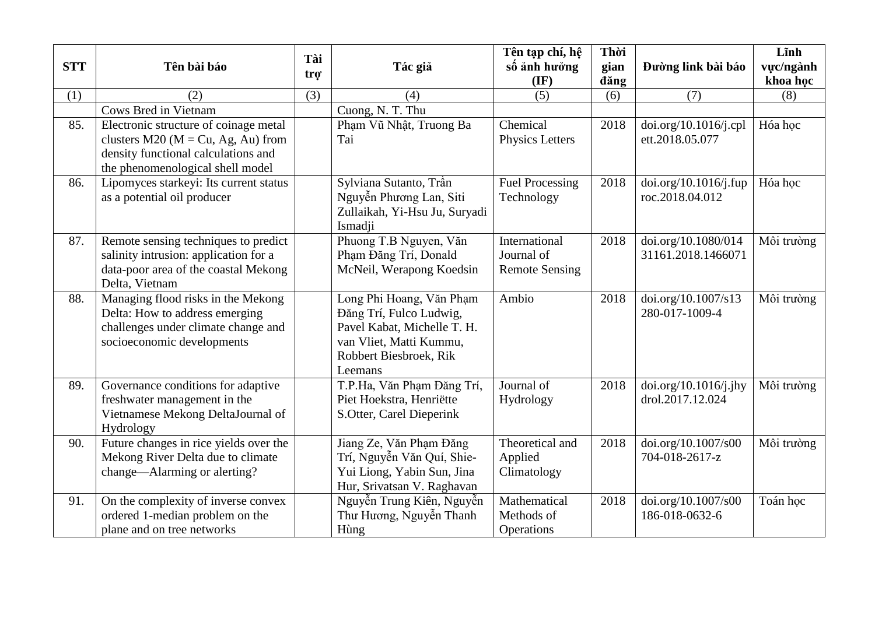|            |                                                                                                                                                          | Tài |                                                                                                                                                    | Tên tạp chí, hệ                                      | Thời         |                                           | Lĩnh                  |
|------------|----------------------------------------------------------------------------------------------------------------------------------------------------------|-----|----------------------------------------------------------------------------------------------------------------------------------------------------|------------------------------------------------------|--------------|-------------------------------------------|-----------------------|
| <b>STT</b> | Tên bài báo                                                                                                                                              | trợ | Tác giả                                                                                                                                            | số ảnh hưởng<br>$(\mathbf{IF})$                      | gian<br>dăng | Đường link bài báo                        | vực/ngành<br>khoa học |
| (1)        | (2)                                                                                                                                                      | (3) | (4)                                                                                                                                                | (5)                                                  | (6)          | (7)                                       | (8)                   |
|            | <b>Cows Bred in Vietnam</b>                                                                                                                              |     | Cuong, N. T. Thu                                                                                                                                   |                                                      |              |                                           |                       |
| 85.        | Electronic structure of coinage metal<br>clusters $M20$ (M = Cu, Ag, Au) from<br>density functional calculations and<br>the phenomenological shell model |     | Phạm Vũ Nhật, Truong Ba<br>Tai                                                                                                                     | Chemical<br>Physics Letters                          | 2018         | doi.org/10.1016/j.cpl<br>ett.2018.05.077  | Hóa học               |
| 86.        | Lipomyces starkeyi: Its current status<br>as a potential oil producer                                                                                    |     | Sylviana Sutanto, Trần<br>Nguyễn Phương Lan, Siti<br>Zullaikah, Yi-Hsu Ju, Suryadi<br>Ismadji                                                      | <b>Fuel Processing</b><br>Technology                 | 2018         | doi.org/10.1016/j.fup<br>roc.2018.04.012  | Hóa hoc               |
| 87.        | Remote sensing techniques to predict<br>salinity intrusion: application for a<br>data-poor area of the coastal Mekong<br>Delta, Vietnam                  |     | Phuong T.B Nguyen, Văn<br>Phạm Đăng Trí, Donald<br>McNeil, Werapong Koedsin                                                                        | International<br>Journal of<br><b>Remote Sensing</b> | 2018         | doi.org/10.1080/014<br>31161.2018.1466071 | Môi trường            |
| 88.        | Managing flood risks in the Mekong<br>Delta: How to address emerging<br>challenges under climate change and<br>socioeconomic developments                |     | Long Phi Hoang, Văn Phạm<br>Đăng Trí, Fulco Ludwig,<br>Pavel Kabat, Michelle T. H.<br>van Vliet, Matti Kummu,<br>Robbert Biesbroek, Rik<br>Leemans | Ambio                                                | 2018         | doi.org/10.1007/s13<br>280-017-1009-4     | Môi trường            |
| 89.        | Governance conditions for adaptive<br>freshwater management in the<br>Vietnamese Mekong DeltaJournal of<br>Hydrology                                     |     | T.P.Ha, Văn Phạm Đăng Trí,<br>Piet Hoekstra, Henriëtte<br>S.Otter, Carel Dieperink                                                                 | Journal of<br>Hydrology                              | 2018         | doi.org/10.1016/j.jhy<br>drol.2017.12.024 | Môi trường            |
| 90.        | Future changes in rice yields over the<br>Mekong River Delta due to climate<br>change—Alarming or alerting?                                              |     | Jiang Ze, Văn Phạm Đăng<br>Trí, Nguyễn Văn Quí, Shie-<br>Yui Liong, Yabin Sun, Jina<br>Hur, Srivatsan V. Raghavan                                  | Theoretical and<br>Applied<br>Climatology            | 2018         | doi.org/10.1007/s00<br>704-018-2617-z     | Môi trường            |
| 91.        | On the complexity of inverse convex<br>ordered 1-median problem on the<br>plane and on tree networks                                                     |     | Nguyễn Trung Kiên, Nguyễn<br>Thư Hương, Nguyễn Thanh<br>Hùng                                                                                       | Mathematical<br>Methods of<br>Operations             | 2018         | doi.org/10.1007/s00<br>186-018-0632-6     | Toán học              |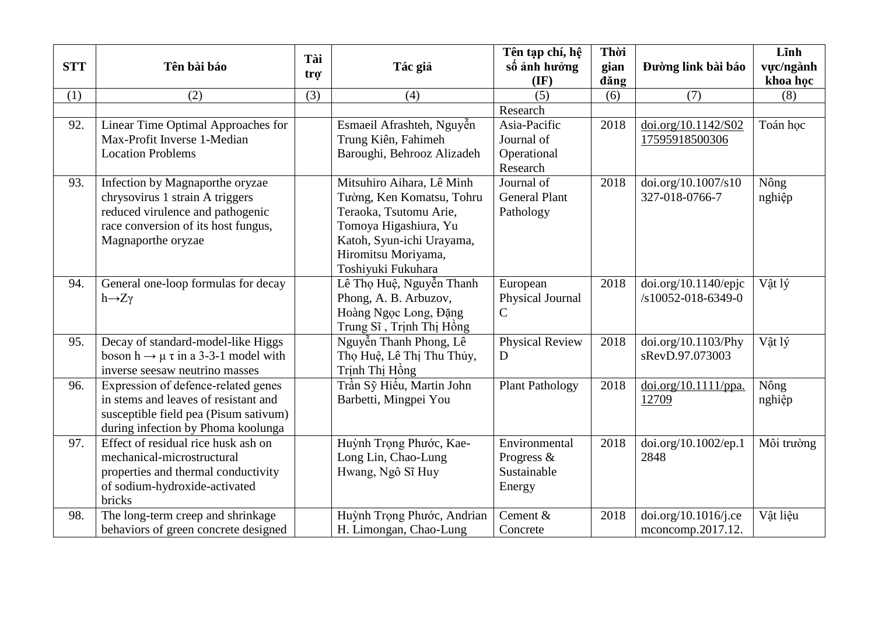|            |                                                      | Tài |                            | Tên tạp chí, hệ        | Thời |                      | Lĩnh       |
|------------|------------------------------------------------------|-----|----------------------------|------------------------|------|----------------------|------------|
| <b>STT</b> | Tên bài báo                                          |     | Tác giả                    | số ảnh hưởng           | gian | Đường link bài báo   | vực/ngành  |
|            |                                                      | trợ |                            | $(\mathbf{IF})$        | dăng |                      | khoa học   |
| (1)        | (2)                                                  | (3) | (4)                        | (5)                    | (6)  | (7)                  | (8)        |
|            |                                                      |     |                            | Research               |      |                      |            |
| 92.        | Linear Time Optimal Approaches for                   |     | Esmaeil Afrashteh, Nguyễn  | Asia-Pacific           | 2018 | doi.org/10.1142/S02  | Toán học   |
|            | Max-Profit Inverse 1-Median                          |     | Trung Kiên, Fahimeh        | Journal of             |      | 17595918500306       |            |
|            | <b>Location Problems</b>                             |     | Baroughi, Behrooz Alizadeh | Operational            |      |                      |            |
|            |                                                      |     |                            | Research               |      |                      |            |
| 93.        | Infection by Magnaporthe oryzae                      |     | Mitsuhiro Aihara, Lê Minh  | Journal of             | 2018 | doi.org/10.1007/s10  | Nông       |
|            | chrysovirus 1 strain A triggers                      |     | Tường, Ken Komatsu, Tohru  | <b>General Plant</b>   |      | 327-018-0766-7       | nghiệp     |
|            | reduced virulence and pathogenic                     |     | Teraoka, Tsutomu Arie,     | Pathology              |      |                      |            |
|            | race conversion of its host fungus,                  |     | Tomoya Higashiura, Yu      |                        |      |                      |            |
|            | Magnaporthe oryzae                                   |     | Katoh, Syun-ichi Urayama,  |                        |      |                      |            |
|            |                                                      |     | Hiromitsu Moriyama,        |                        |      |                      |            |
|            |                                                      |     | Toshiyuki Fukuhara         |                        |      |                      |            |
| 94.        | General one-loop formulas for decay                  |     | Lê Thọ Huệ, Nguyễn Thanh   | European               | 2018 | doi.org/10.1140/epic | Vật lý     |
|            | $h\rightarrow Z\gamma$                               |     | Phong, A. B. Arbuzov,      | Physical Journal       |      | /s10052-018-6349-0   |            |
|            |                                                      |     | Hoàng Ngọc Long, Đặng      | $\mathcal{C}$          |      |                      |            |
|            |                                                      |     | Trung Sĩ, Trịnh Thị Hồng   |                        |      |                      |            |
| 95.        | Decay of standard-model-like Higgs                   |     | Nguyễn Thanh Phong, Lê     | <b>Physical Review</b> | 2018 | doi.org/10.1103/Phy  | Vât lý     |
|            | boson $h \rightarrow \mu \tau$ in a 3-3-1 model with |     | Thọ Huệ, Lê Thị Thu Thủy,  | D                      |      | sRevD.97.073003      |            |
|            | inverse seesaw neutrino masses                       |     | Trịnh Thị Hồng             |                        |      |                      |            |
| 96.        | Expression of defence-related genes                  |     | Trần Sỹ Hiểu, Martin John  | <b>Plant Pathology</b> | 2018 | doi.org/10.1111/ppa. | Nông       |
|            | in stems and leaves of resistant and                 |     | Barbetti, Mingpei You      |                        |      | 12709                | nghiệp     |
|            | susceptible field pea (Pisum sativum)                |     |                            |                        |      |                      |            |
|            | during infection by Phoma koolunga                   |     |                            |                        |      |                      |            |
| 97.        | Effect of residual rice husk ash on                  |     | Huỳnh Trọng Phước, Kae-    | Environmental          | 2018 | doi.org/10.1002/ep.1 | Môi trường |
|            | mechanical-microstructural                           |     | Long Lin, Chao-Lung        | Progress &             |      | 2848                 |            |
|            | properties and thermal conductivity                  |     | Hwang, Ngô Sĩ Huy          | Sustainable            |      |                      |            |
|            | of sodium-hydroxide-activated                        |     |                            | Energy                 |      |                      |            |
|            | bricks                                               |     |                            |                        |      |                      |            |
| 98.        | The long-term creep and shrinkage                    |     | Huỳnh Trọng Phước, Andrian | Cement &               | 2018 | doi.org/10.1016/j.ce | Vât liêu   |
|            | behaviors of green concrete designed                 |     | H. Limongan, Chao-Lung     | Concrete               |      | mconcomp.2017.12.    |            |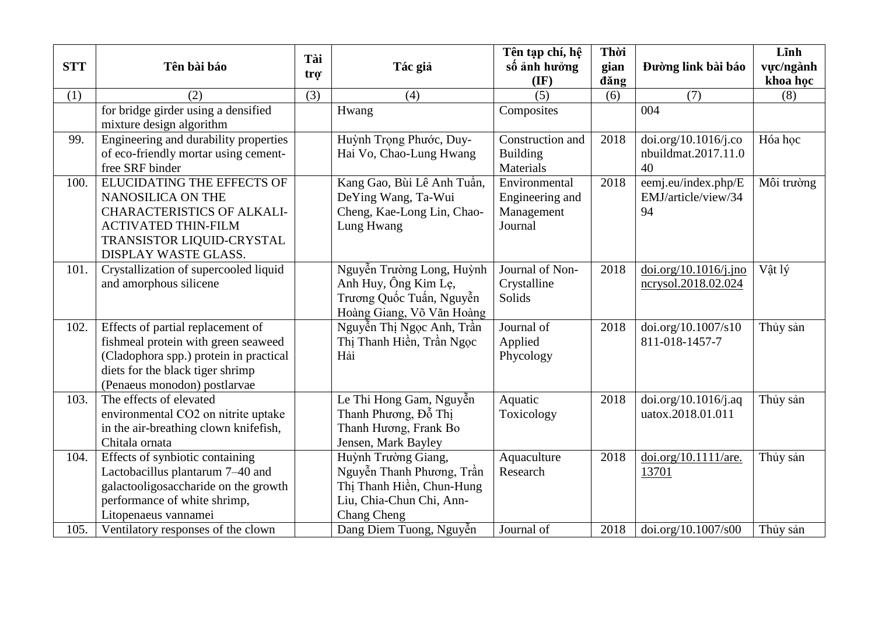| <b>STT</b> | Tên bài báo                                                                                                                                                                            | Tài<br>trợ | Tác giả                                                                                                                  | Tên tạp chí, hệ<br>số ảnh hưởng                           | Thời<br>gian | Đường link bài báo                                | Lĩnh<br>vực/ngành    |
|------------|----------------------------------------------------------------------------------------------------------------------------------------------------------------------------------------|------------|--------------------------------------------------------------------------------------------------------------------------|-----------------------------------------------------------|--------------|---------------------------------------------------|----------------------|
|            |                                                                                                                                                                                        |            |                                                                                                                          | $(\mathbf{IF})$                                           | dăng         |                                                   | khoa học             |
| (1)        | (2)                                                                                                                                                                                    | (3)        | (4)                                                                                                                      | (5)                                                       | (6)          | (7)                                               | (8)                  |
|            | for bridge girder using a densified<br>mixture design algorithm                                                                                                                        |            | Hwang                                                                                                                    | Composites                                                |              | 004                                               |                      |
| 99.        | Engineering and durability properties<br>of eco-friendly mortar using cement-<br>free SRF binder                                                                                       |            | Huỳnh Trọng Phước, Duy-<br>Hai Vo, Chao-Lung Hwang                                                                       | Construction and<br><b>Building</b><br>Materials          | 2018         | doi.org/10.1016/j.co<br>nbuildmat.2017.11.0<br>40 | Hóa học              |
| 100.       | ELUCIDATING THE EFFECTS OF<br>NANOSILICA ON THE<br><b>CHARACTERISTICS OF ALKALI-</b><br><b>ACTIVATED THIN-FILM</b><br>TRANSISTOR LIQUID-CRYSTAL<br>DISPLAY WASTE GLASS.                |            | Kang Gao, Bùi Lê Anh Tuấn,<br>DeYing Wang, Ta-Wui<br>Cheng, Kae-Long Lin, Chao-<br>Lung Hwang                            | Environmental<br>Engineering and<br>Management<br>Journal | 2018         | eemj.eu/index.php/E<br>EMJ/article/view/34<br>94  | Môi trường           |
| 101.       | Crystallization of supercooled liquid<br>and amorphous silicene                                                                                                                        |            | Nguyễn Trường Long, Huỳnh<br>Anh Huy, Ông Kim Lẹ,<br>Trương Quốc Tuấn, Nguyễn<br>Hoàng Giang, Võ Văn Hoàng               | Journal of Non-<br>Crystalline<br>Solids                  | 2018         | doi.org/10.1016/j.jno<br>ncrysol.2018.02.024      | Vật lý               |
| 102.       | Effects of partial replacement of<br>fishmeal protein with green seaweed<br>(Cladophora spp.) protein in practical<br>diets for the black tiger shrimp<br>(Penaeus monodon) postlarvae |            | Nguyễn Thị Ngọc Anh, Trần<br>Thị Thanh Hiền, Trần Ngọc<br>Hải                                                            | Journal of<br>Applied<br>Phycology                        | 2018         | doi.org/10.1007/s10<br>811-018-1457-7             | Thủy sản             |
| 103.       | The effects of elevated<br>environmental CO2 on nitrite uptake<br>in the air-breathing clown knifefish,<br>Chitala ornata                                                              |            | Le Thi Hong Gam, Nguyễn<br>Thanh Phương, Đỗ Thị<br>Thanh Hương, Frank Bo<br>Jensen, Mark Bayley                          | Aquatic<br>Toxicology                                     | 2018         | doi.org/10.1016/j.aq<br>uatox.2018.01.011         | Thủy sản             |
| 104.       | Effects of synbiotic containing<br>Lactobacillus plantarum 7-40 and<br>galactooligosaccharide on the growth<br>performance of white shrimp,<br>Litopenaeus vannamei                    |            | Huỳnh Trường Giang,<br>Nguyễn Thanh Phương, Trần<br>Thị Thanh Hiền, Chun-Hung<br>Liu, Chia-Chun Chi, Ann-<br>Chang Cheng | Aquaculture<br>Research                                   | 2018         | doi.org/10.1111/are.<br>13701                     | Thủy sản<br>Thủy sản |
| 105.       | Ventilatory responses of the clown                                                                                                                                                     |            | Dang Diem Tuong, Nguyễn                                                                                                  | Journal of                                                | 2018         | doi.org/10.1007/s00                               |                      |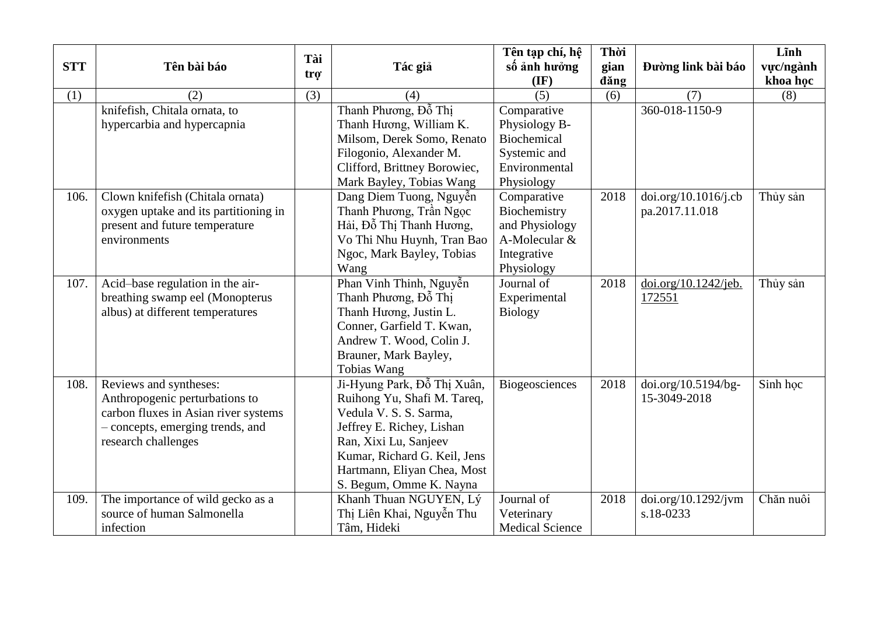|            |                                       | Tài              |                              | Tên tạp chí, hệ        | Thời |                      | Lĩnh      |
|------------|---------------------------------------|------------------|------------------------------|------------------------|------|----------------------|-----------|
| <b>STT</b> | Tên bài báo                           | tro <sup>-</sup> | Tác giả                      | số ảnh hưởng           | gian | Đường link bài báo   | vưc/ngành |
|            |                                       |                  |                              | $(\mathbf{IF})$        | dăng |                      | khoa học  |
| (1)        | (2)                                   | (3)              | (4)                          | (5)                    | (6)  | (7)                  | (8)       |
|            | knifefish, Chitala ornata, to         |                  | Thanh Phương, Đỗ Thị         | Comparative            |      | 360-018-1150-9       |           |
|            | hypercarbia and hypercapnia           |                  | Thanh Hương, William K.      | Physiology B-          |      |                      |           |
|            |                                       |                  | Milsom, Derek Somo, Renato   | Biochemical            |      |                      |           |
|            |                                       |                  | Filogonio, Alexander M.      | Systemic and           |      |                      |           |
|            |                                       |                  | Clifford, Brittney Borowiec, | Environmental          |      |                      |           |
|            |                                       |                  | Mark Bayley, Tobias Wang     | Physiology             |      |                      |           |
| 106.       | Clown knifefish (Chitala ornata)      |                  | Dang Diem Tuong, Nguyễn      | Comparative            | 2018 | doi.org/10.1016/j.cb | Thủy sản  |
|            | oxygen uptake and its partitioning in |                  | Thanh Phương, Trần Ngọc      | Biochemistry           |      | pa.2017.11.018       |           |
|            | present and future temperature        |                  | Hải, Đỗ Thị Thanh Hương,     | and Physiology         |      |                      |           |
|            | environments                          |                  | Vo Thi Nhu Huynh, Tran Bao   | A-Molecular &          |      |                      |           |
|            |                                       |                  | Ngoc, Mark Bayley, Tobias    | Integrative            |      |                      |           |
|            |                                       |                  | Wang                         | Physiology             |      |                      |           |
| 107.       | Acid-base regulation in the air-      |                  | Phan Vinh Thinh, Nguyễn      | Journal of             | 2018 | doi.org/10.1242/jeb. | Thủy sản  |
|            | breathing swamp eel (Monopterus       |                  | Thanh Phương, Đỗ Thị         | Experimental           |      | 172551               |           |
|            | albus) at different temperatures      |                  | Thanh Hương, Justin L.       | <b>Biology</b>         |      |                      |           |
|            |                                       |                  | Conner, Garfield T. Kwan,    |                        |      |                      |           |
|            |                                       |                  | Andrew T. Wood, Colin J.     |                        |      |                      |           |
|            |                                       |                  | Brauner, Mark Bayley,        |                        |      |                      |           |
|            |                                       |                  | Tobias Wang                  |                        |      |                      |           |
| 108.       | Reviews and syntheses:                |                  | Ji-Hyung Park, Đỗ Thị Xuân,  | Biogeosciences         | 2018 | doi.org/10.5194/bg-  | Sinh học  |
|            | Anthropogenic perturbations to        |                  | Ruihong Yu, Shafi M. Tareq,  |                        |      | 15-3049-2018         |           |
|            | carbon fluxes in Asian river systems  |                  | Vedula V. S. S. Sarma,       |                        |      |                      |           |
|            | - concepts, emerging trends, and      |                  | Jeffrey E. Richey, Lishan    |                        |      |                      |           |
|            | research challenges                   |                  | Ran, Xixi Lu, Sanjeev        |                        |      |                      |           |
|            |                                       |                  | Kumar, Richard G. Keil, Jens |                        |      |                      |           |
|            |                                       |                  | Hartmann, Eliyan Chea, Most  |                        |      |                      |           |
|            |                                       |                  | S. Begum, Omme K. Nayna      |                        |      |                      |           |
| 109.       | The importance of wild gecko as a     |                  | Khanh Thuan NGUYEN, Lý       | Journal of             | 2018 | doi.org/10.1292/jvm  | Chăn nuôi |
|            | source of human Salmonella            |                  | Thị Liên Khai, Nguyễn Thu    | Veterinary             |      | $s.18 - 0233$        |           |
|            | infection                             |                  | Tâm, Hideki                  | <b>Medical Science</b> |      |                      |           |